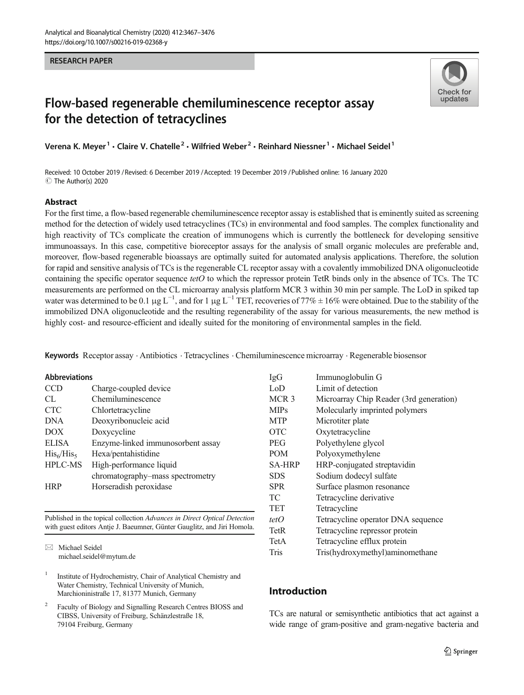## RESEARCH PAPER



# Flow-based regenerable chemiluminescence receptor assay for the detection of tetracyclines

Verena K. Meyer<sup>1</sup> • Claire V. Chatelle<sup>2</sup> • Wilfried Weber<sup>2</sup> • Reinhard Niessner<sup>1</sup> • Michael Seidel<sup>1</sup>

Received: 10 October 2019 / Revised: 6 December 2019 /Accepted: 19 December 2019 /Published online: 16 January 2020 C The Author(s) 2020

## Abstract

For the first time, a flow-based regenerable chemiluminescence receptor assay is established that is eminently suited as screening method for the detection of widely used tetracyclines (TCs) in environmental and food samples. The complex functionality and high reactivity of TCs complicate the creation of immunogens which is currently the bottleneck for developing sensitive immunoassays. In this case, competitive bioreceptor assays for the analysis of small organic molecules are preferable and, moreover, flow-based regenerable bioassays are optimally suited for automated analysis applications. Therefore, the solution for rapid and sensitive analysis of TCs is the regenerable CL receptor assay with a covalently immobilized DNA oligonucleotide containing the specific operator sequence  $tetO$  to which the repressor protein TetR binds only in the absence of TCs. The TC measurements are performed on the CL microarray analysis platform MCR 3 within 30 min per sample. The LoD in spiked tap water was determined to be 0.1 µg L<sup>-1</sup>, and for 1 µg L<sup>-1</sup> TET, recoveries of 77% ± 16% were obtained. Due to the stability of the immobilized DNA oligonucleotide and the resulting regenerability of the assay for various measurements, the new method is highly cost- and resource-efficient and ideally suited for the monitoring of environmental samples in the field.

Keywords Receptor assay . Antibiotics . Tetracyclines . Chemiluminescence microarray . Regenerable biosensor

| <b>Abbreviations</b>               |                                   |
|------------------------------------|-----------------------------------|
| <b>CCD</b>                         | Charge-coupled device             |
| CI.                                | Chemiluminescence                 |
| <b>CTC</b>                         | Chlortetracycline                 |
| <b>DNA</b>                         | Deoxyribonucleic acid             |
| DOX                                | Doxycycline                       |
| <b>ELISA</b>                       | Enzyme-linked immunosorbent assay |
| His <sub>6</sub> /His <sub>5</sub> | Hexa/pentahistidine               |
| <b>HPLC-MS</b>                     | High-performance liquid           |
|                                    | chromatography–mass spectrometry  |
| HRP                                | Horseradish peroxidase            |

Published in the topical collection Advances in Direct Optical Detection with guest editors Antje J. Baeumner, Günter Gauglitz, and Jiri Homola.

 $\boxtimes$  Michael Seidel [michael.seidel@mytum.de](mailto:michael.seidel@mytum.de)

<sup>1</sup> Institute of Hydrochemistry, Chair of Analytical Chemistry and Water Chemistry, Technical University of Munich, Marchioninistraße 17, 81377 Munich, Germany

<sup>2</sup> Faculty of Biology and Signalling Research Centres BIOSS and CIBSS, University of Freiburg, Schänzlestraße 18, 79104 Freiburg, Germany

| IgG              | Immunoglobulin G                        |
|------------------|-----------------------------------------|
| LoD              | Limit of detection                      |
| MCR <sub>3</sub> | Microarray Chip Reader (3rd generation) |
| <b>MIPs</b>      | Molecularly imprinted polymers          |
| <b>MTP</b>       | Microtiter plate                        |
| <b>OTC</b>       | Oxytetracycline                         |
| <b>PEG</b>       | Polyethylene glycol                     |
| <b>POM</b>       | Polyoxymethylene                        |
| SA-HRP           | HRP-conjugated streptavidin             |
| SDS              | Sodium dodecyl sulfate                  |
| <b>SPR</b>       | Surface plasmon resonance               |
| ТC               | Tetracycline derivative                 |
| TET              | Tetracycline                            |
| tetO             | Tetracycline operator DNA sequence      |
| <b>TetR</b>      | Tetracycline repressor protein          |
| TetA             | Tetracycline efflux protein             |
| Tris             | Tris(hydroxymethyl)aminomethane         |

## Introduction

TCs are natural or semisynthetic antibiotics that act against a wide range of gram-positive and gram-negative bacteria and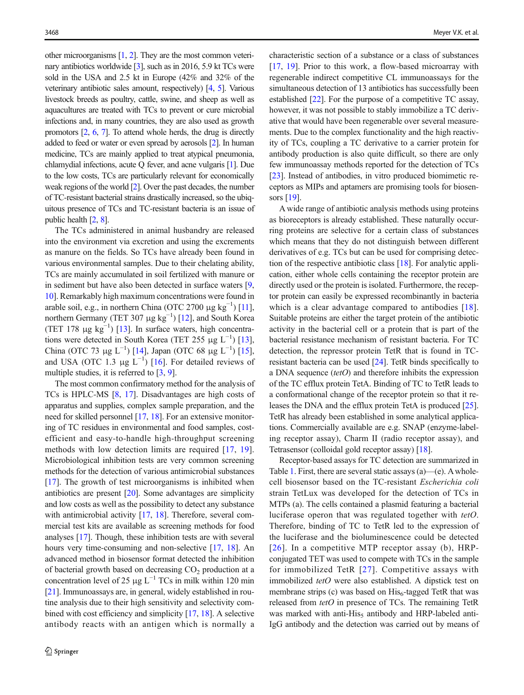other microorganisms [\[1](#page-8-0), [2\]](#page-8-0). They are the most common veterinary antibiotics worldwide [\[3\]](#page-8-0), such as in 2016, 5.9 kt TCs were sold in the USA and 2.5 kt in Europe (42% and 32% of the veterinary antibiotic sales amount, respectively) [\[4,](#page-8-0) [5](#page-8-0)]. Various livestock breeds as poultry, cattle, swine, and sheep as well as aquacultures are treated with TCs to prevent or cure microbial infections and, in many countries, they are also used as growth promotors [\[2,](#page-8-0) [6,](#page-8-0) [7\]](#page-8-0). To attend whole herds, the drug is directly added to feed or water or even spread by aerosols [\[2](#page-8-0)]. In human medicine, TCs are mainly applied to treat atypical pneumonia, chlamydial infections, acute Q fever, and acne vulgaris [\[1](#page-8-0)]. Due to the low costs, TCs are particularly relevant for economically weak regions of the world [\[2\]](#page-8-0). Over the past decades, the number of TC-resistant bacterial strains drastically increased, so the ubiquitous presence of TCs and TC-resistant bacteria is an issue of public health [[2](#page-8-0), [8\]](#page-8-0).

The TCs administered in animal husbandry are released into the environment via excretion and using the excrements as manure on the fields. So TCs have already been found in various environmental samples. Due to their chelating ability, TCs are mainly accumulated in soil fertilized with manure or in sediment but have also been detected in surface waters [[9,](#page-8-0) [10\]](#page-8-0). Remarkably high maximum concentrations were found in arable soil, e.g., in northern China (OTC 2700  $\mu$ g kg<sup>-1</sup>) [\[11\]](#page-9-0), northern Germany (TET 307 μg kg<sup>-1</sup>) [[12](#page-9-0)], and South Korea (TET 178  $\mu$ g kg<sup>-1</sup>) [\[13](#page-9-0)]. In surface waters, high concentrations were detected in South Korea (TET 255 μg  $L^{-1}$ ) [[13\]](#page-9-0), China (OTC 73 μg L<sup>-1</sup>) [[14](#page-9-0)], Japan (OTC 68 μg L<sup>-1</sup>) [[15\]](#page-9-0), and USA (OTC 1.3 µg  $L^{-1}$ ) [[16\]](#page-9-0). For detailed reviews of multiple studies, it is referred to [[3,](#page-8-0) [9\]](#page-8-0).

The most common confirmatory method for the analysis of TCs is HPLC-MS [[8](#page-8-0), [17](#page-9-0)]. Disadvantages are high costs of apparatus and supplies, complex sample preparation, and the need for skilled personnel [[17](#page-9-0), [18](#page-9-0)]. For an extensive monitoring of TC residues in environmental and food samples, costefficient and easy-to-handle high-throughput screening methods with low detection limits are required [\[17,](#page-9-0) [19](#page-9-0)]. Microbiological inhibition tests are very common screening methods for the detection of various antimicrobial substances [\[17](#page-9-0)]. The growth of test microorganisms is inhibited when antibiotics are present [\[20](#page-9-0)]. Some advantages are simplicity and low costs as well as the possibility to detect any substance with antimicrobial activity [\[17,](#page-9-0) [18](#page-9-0)]. Therefore, several commercial test kits are available as screening methods for food analyses [[17\]](#page-9-0). Though, these inhibition tests are with several hours very time-consuming and non-selective [[17,](#page-9-0) [18\]](#page-9-0). An advanced method in biosensor format detected the inhibition of bacterial growth based on decreasing  $CO<sub>2</sub>$  production at a concentration level of 25 μg  $L^{-1}$  TCs in milk within 120 min [\[21\]](#page-9-0). Immunoassays are, in general, widely established in routine analysis due to their high sensitivity and selectivity combined with cost efficiency and simplicity [[17](#page-9-0), [18](#page-9-0)]. A selective antibody reacts with an antigen which is normally a

characteristic section of a substance or a class of substances [\[17](#page-9-0), [19\]](#page-9-0). Prior to this work, a flow-based microarray with regenerable indirect competitive CL immunoassays for the simultaneous detection of 13 antibiotics has successfully been established [\[22\]](#page-9-0). For the purpose of a competitive TC assay, however, it was not possible to stably immobilize a TC derivative that would have been regenerable over several measurements. Due to the complex functionality and the high reactivity of TCs, coupling a TC derivative to a carrier protein for antibody production is also quite difficult, so there are only few immunoassay methods reported for the detection of TCs [\[23](#page-9-0)]. Instead of antibodies, in vitro produced biomimetic receptors as MIPs and aptamers are promising tools for biosensors [\[19](#page-9-0)].

A wide range of antibiotic analysis methods using proteins as bioreceptors is already established. These naturally occurring proteins are selective for a certain class of substances which means that they do not distinguish between different derivatives of e.g. TCs but can be used for comprising detection of the respective antibiotic class [\[18](#page-9-0)]. For analytic application, either whole cells containing the receptor protein are directly used or the protein is isolated. Furthermore, the receptor protein can easily be expressed recombinantly in bacteria which is a clear advantage compared to antibodies [\[18](#page-9-0)]. Suitable proteins are either the target protein of the antibiotic activity in the bacterial cell or a protein that is part of the bacterial resistance mechanism of resistant bacteria. For TC detection, the repressor protein TetR that is found in TCresistant bacteria can be used [\[24\]](#page-9-0). TetR binds specifically to a DNA sequence  $(tetO)$  and therefore inhibits the expression of the TC efflux protein TetA. Binding of TC to TetR leads to a conformational change of the receptor protein so that it releases the DNA and the efflux protein TetA is produced [[25\]](#page-9-0). TetR has already been established in some analytical applications. Commercially available are e.g. SNAP (enzyme-labeling receptor assay), Charm II (radio receptor assay), and Tetrasensor (colloidal gold receptor assay) [\[18](#page-9-0)].

Receptor-based assays for TC detection are summarized in Table [1](#page-2-0). First, there are several static assays  $(a)$ — $(e)$ . A wholecell biosensor based on the TC-resistant Escherichia coli strain TetLux was developed for the detection of TCs in MTPs (a). The cells contained a plasmid featuring a bacterial luciferase operon that was regulated together with tetO. Therefore, binding of TC to TetR led to the expression of the luciferase and the bioluminescence could be detected  $[26]$  $[26]$  $[26]$ . In a competitive MTP receptor assay (b), HRPconjugated TET was used to compete with TCs in the sample for immobilized TetR [[27](#page-9-0)]. Competitive assays with immobilized *tetO* were also established. A dipstick test on membrane strips (c) was based on  $His<sub>6</sub>$ -tagged TetR that was released from  $tetO$  in presence of TCs. The remaining TetR was marked with anti-His<sub>5</sub> antibody and HRP-labeled anti-IgG antibody and the detection was carried out by means of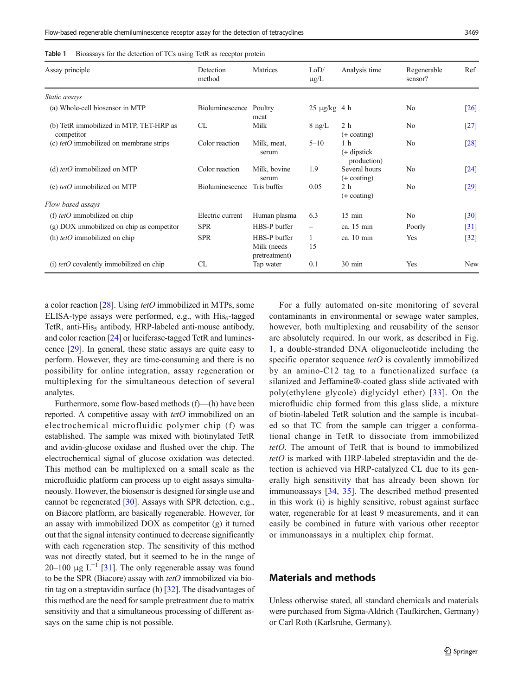<span id="page-2-0"></span>

| Table 1 | Bioassays for the detection of TCs using TetR as receptor protein |  |  |  |  |  |  |  |
|---------|-------------------------------------------------------------------|--|--|--|--|--|--|--|
|---------|-------------------------------------------------------------------|--|--|--|--|--|--|--|

| Assay principle                                       | Detection<br>method     | Matrices                                      | LoD/<br>$\mu$ g/L        | Analysis time                                  | Regenerable<br>sensor? | Ref                |
|-------------------------------------------------------|-------------------------|-----------------------------------------------|--------------------------|------------------------------------------------|------------------------|--------------------|
| Static assays                                         |                         |                                               |                          |                                                |                        |                    |
| (a) Whole-cell biosensor in MTP                       | Bioluminescence Poultry | meat                                          | $25 \mu g/kg$            | 4 h                                            | No                     | $\lceil 26 \rceil$ |
| (b) TetR immobilized in MTP, TET-HRP as<br>competitor | CL.                     | Milk                                          | $8 \text{ ng/L}$         | 2 <sub>h</sub><br>$(+\text{coating})$          | N <sub>0</sub>         | $[27]$             |
| (c) $tetO$ immobilized on membrane strips             | Color reaction          | Milk, meat,<br>serum                          | $5 - 10$                 | 1 <sub>h</sub><br>$(+$ dipstick<br>production) | No                     | [28]               |
| (d) $tetO$ immobilized on MTP                         | Color reaction          | Milk, bovine<br>serum                         | 1.9                      | Several hours<br>$(+\,\text{coating})$         | N <sub>0</sub>         | $\lceil 24 \rceil$ |
| (e) $tetO$ immobilized on MTP                         | Bioluminescence         | Tris buffer                                   | 0.05                     | 2 <sub>h</sub><br>$(+\cot\theta)$              | No                     | [29]               |
| Flow-based assays                                     |                         |                                               |                          |                                                |                        |                    |
| (f) $tetO$ immobilized on chip                        | Electric current        | Human plasma                                  | 6.3                      | $15 \text{ min}$                               | N <sub>0</sub>         | $\lceil 30 \rceil$ |
| $(g)$ DOX immobilized on chip as competitor           | <b>SPR</b>              | HBS-P buffer                                  | $\overline{\phantom{m}}$ | ca. 15 min                                     | Poorly                 | $\lceil 31 \rceil$ |
| (h) $tetO$ immobilized on chip                        | <b>SPR</b>              | HBS-P buffer<br>Milk (needs)<br>pretreatment) | 1<br>15                  | ca. 10 min                                     | Yes                    | $\lceil 32 \rceil$ |
| $(i)$ <i>tetO</i> covalently immobilized on chip      | CL                      | Tap water                                     | 0.1                      | $30 \text{ min}$                               | Yes                    | <b>New</b>         |

a color reaction [\[28](#page-9-0)]. Using  $tetO$  immobilized in MTPs, some ELISA-type assays were performed, e.g., with  $His<sub>6</sub>$ -tagged TetR, anti-His<sub>5</sub> antibody, HRP-labeled anti-mouse antibody, and color reaction [\[24\]](#page-9-0) or luciferase-tagged TetR and luminescence [\[29\]](#page-9-0). In general, these static assays are quite easy to perform. However, they are time-consuming and there is no possibility for online integration, assay regeneration or multiplexing for the simultaneous detection of several analytes.

Furthermore, some flow-based methods (f)—(h) have been reported. A competitive assay with  $tetO$  immobilized on an electrochemical microfluidic polymer chip (f) was established. The sample was mixed with biotinylated TetR and avidin-glucose oxidase and flushed over the chip. The electrochemical signal of glucose oxidation was detected. This method can be multiplexed on a small scale as the microfluidic platform can process up to eight assays simultaneously. However, the biosensor is designed for single use and cannot be regenerated [[30\]](#page-9-0). Assays with SPR detection, e.g., on Biacore platform, are basically regenerable. However, for an assay with immobilized DOX as competitor (g) it turned out that the signal intensity continued to decrease significantly with each regeneration step. The sensitivity of this method was not directly stated, but it seemed to be in the range of 20–100 μg  $L^{-1}$  [\[31\]](#page-9-0). The only regenerable assay was found to be the SPR (Biacore) assay with *tetO* immobilized via biotin tag on a streptavidin surface (h) [[32\]](#page-9-0). The disadvantages of this method are the need for sample pretreatment due to matrix sensitivity and that a simultaneous processing of different assays on the same chip is not possible.

For a fully automated on-site monitoring of several contaminants in environmental or sewage water samples, however, both multiplexing and reusability of the sensor are absolutely required. In our work, as described in Fig. [1](#page-3-0), a double-stranded DNA oligonucleotide including the specific operator sequence  $tetO$  is covalently immobilized by an amino-C12 tag to a functionalized surface (a silanized and Jeffamine®-coated glass slide activated with poly(ethylene glycole) diglycidyl ether) [[33\]](#page-9-0). On the microfluidic chip formed from this glass slide, a mixture of biotin-labeled TetR solution and the sample is incubated so that TC from the sample can trigger a conformational change in TetR to dissociate from immobilized tetO. The amount of TetR that is bound to immobilized tetO is marked with HRP-labeled streptavidin and the detection is achieved via HRP-catalyzed CL due to its generally high sensitivity that has already been shown for immunoassays [[34](#page-9-0), [35\]](#page-9-0). The described method presented in this work (i) is highly sensitive, robust against surface water, regenerable for at least 9 measurements, and it can easily be combined in future with various other receptor or immunoassays in a multiplex chip format.

## Materials and methods

Unless otherwise stated, all standard chemicals and materials were purchased from Sigma-Aldrich (Taufkirchen, Germany) or Carl Roth (Karlsruhe, Germany).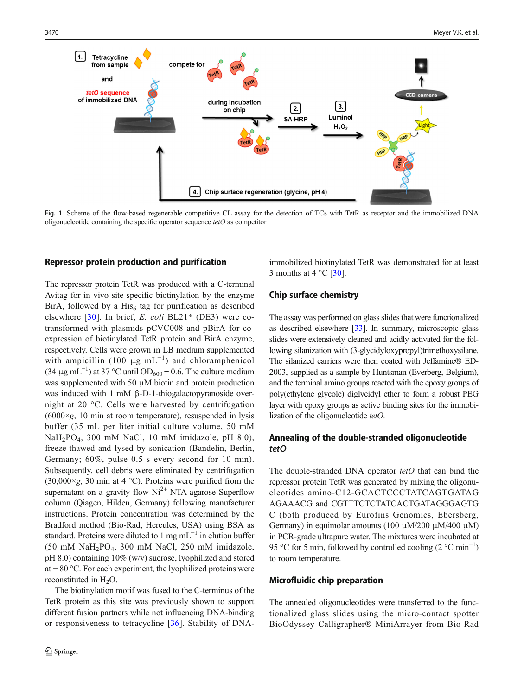<span id="page-3-0"></span>

Fig. 1 Scheme of the flow-based regenerable competitive CL assay for the detection of TCs with TetR as receptor and the immobilized DNA oligonucleotide containing the specific operator sequence  $tetO$  as competitor

#### Repressor protein production and purification

The repressor protein TetR was produced with a C-terminal Avitag for in vivo site specific biotinylation by the enzyme BirA, followed by a  $His<sub>6</sub>$  tag for purification as described elsewhere  $[30]$ . In brief, E. coli BL21\* (DE3) were cotransformed with plasmids pCVC008 and pBirA for coexpression of biotinylated TetR protein and BirA enzyme, respectively. Cells were grown in LB medium supplemented with ampicillin (100  $\mu$ g mL<sup>-1</sup>) and chloramphenicol  $(34 \mu g \text{ mL}^{-1})$  at 37 °C until OD<sub>600</sub> = 0.6. The culture medium was supplemented with 50 μM biotin and protein production was induced with 1 mM β-D-1-thiogalactopyranoside overnight at 20 °C. Cells were harvested by centrifugation  $(6000 \times g, 10 \text{ min at room temperature})$ , resuspended in lysis buffer (35 mL per liter initial culture volume, 50 mM NaH<sub>2</sub>PO<sub>4</sub>, 300 mM NaCl, 10 mM imidazole, pH 8.0), freeze-thawed and lysed by sonication (Bandelin, Berlin, Germany; 60%, pulse 0.5 s every second for 10 min). Subsequently, cell debris were eliminated by centrifugation  $(30,000\times g, 30 \text{ min at } 4 \text{ }^{\circ}\text{C})$ . Proteins were purified from the supernatant on a gravity flow  $Ni<sup>2+</sup>-NTA$ -agarose Superflow column (Qiagen, Hilden, Germany) following manufacturer instructions. Protein concentration was determined by the Bradford method (Bio-Rad, Hercules, USA) using BSA as standard. Proteins were diluted to 1 mg mL $^{-1}$  in elution buffer (50 mM NaH2PO4, 300 mM NaCl, 250 mM imidazole, pH 8.0) containing 10% (w/v) sucrose, lyophilized and stored at − 80 °C. For each experiment, the lyophilized proteins were reconstituted in  $H_2O$ .

The biotinylation motif was fused to the C-terminus of the TetR protein as this site was previously shown to support different fusion partners while not influencing DNA-binding or responsiveness to tetracycline [[36\]](#page-9-0). Stability of DNA- immobilized biotinylated TetR was demonstrated for at least 3 months at  $4^{\circ}$ C [\[30](#page-9-0)].

## Chip surface chemistry

The assay was performed on glass slides that were functionalized as described elsewhere [\[33\]](#page-9-0). In summary, microscopic glass slides were extensively cleaned and acidly activated for the following silanization with (3-glycidyloxypropyl)trimethoxysilane. The silanized carriers were then coated with Jeffamine® ED-2003, supplied as a sample by Huntsman (Everberg, Belgium), and the terminal amino groups reacted with the epoxy groups of poly(ethylene glycole) diglycidyl ether to form a robust PEG layer with epoxy groups as active binding sites for the immobilization of the oligonucleotide tetO.

## Annealing of the double-stranded oligonucleotide tetO

The double-stranded DNA operator  $tetO$  that can bind the repressor protein TetR was generated by mixing the oligonucleotides amino-C12-GCACTCCCTATCAGTGATAG AGAAACG and CGTTTCTCTATCACTGATAGGGAGTG C (both produced by Eurofins Genomics, Ebersberg, Germany) in equimolar amounts (100 μM/200 μM/400 μM) in PCR-grade ultrapure water. The mixtures were incubated at 95 °C for 5 min, followed by controlled cooling (2 °C min<sup>-1</sup>) to room temperature.

## Microfluidic chip preparation

The annealed oligonucleotides were transferred to the functionalized glass slides using the micro-contact spotter BioOdyssey Calligrapher® MiniArrayer from Bio-Rad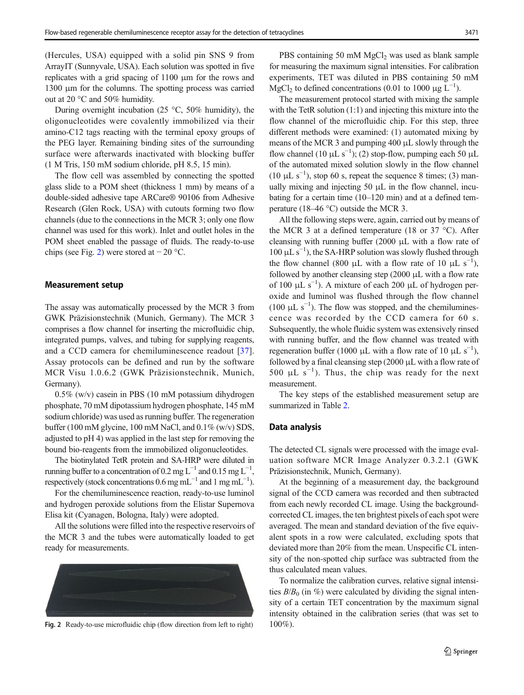(Hercules, USA) equipped with a solid pin SNS 9 from ArrayIT (Sunnyvale, USA). Each solution was spotted in five replicates with a grid spacing of 1100 μm for the rows and 1300 μm for the columns. The spotting process was carried out at 20 °C and 50% humidity.

During overnight incubation (25 °C, 50% humidity), the oligonucleotides were covalently immobilized via their amino-C12 tags reacting with the terminal epoxy groups of the PEG layer. Remaining binding sites of the surrounding surface were afterwards inactivated with blocking buffer (1 M Tris, 150 mM sodium chloride, pH 8.5, 15 min).

The flow cell was assembled by connecting the spotted glass slide to a POM sheet (thickness 1 mm) by means of a double-sided adhesive tape ARCare® 90106 from Adhesive Research (Glen Rock, USA) with cutouts forming two flow channels (due to the connections in the MCR 3; only one flow channel was used for this work). Inlet and outlet holes in the POM sheet enabled the passage of fluids. The ready-to-use chips (see Fig. 2) were stored at  $-20$  °C.

#### Measurement setup

The assay was automatically processed by the MCR 3 from GWK Präzisionstechnik (Munich, Germany). The MCR 3 comprises a flow channel for inserting the microfluidic chip, integrated pumps, valves, and tubing for supplying reagents, and a CCD camera for chemiluminescence readout [[37](#page-9-0)]. Assay protocols can be defined and run by the software MCR Visu 1.0.6.2 (GWK Präzisionstechnik, Munich, Germany).

0.5% (w/v) casein in PBS (10 mM potassium dihydrogen phosphate, 70 mM dipotassium hydrogen phosphate, 145 mM sodium chloride) was used as running buffer. The regeneration buffer (100 mM glycine, 100 mM NaCl, and  $0.1\%$  (w/v) SDS, adjusted to pH 4) was applied in the last step for removing the bound bio-reagents from the immobilized oligonucleotides.

The biotinylated TetR protein and SA-HRP were diluted in running buffer to a concentration of 0.2 mg L<sup>-1</sup> and 0.15 mg L<sup>-1</sup>, respectively (stock concentrations  $0.6$  mg mL<sup>-1</sup> and 1 mg mL<sup>-1</sup>).

For the chemiluminescence reaction, ready-to-use luminol and hydrogen peroxide solutions from the Elistar Supernova Elisa kit (Cyanagen, Bologna, Italy) were adopted.

All the solutions were filled into the respective reservoirs of the MCR 3 and the tubes were automatically loaded to get ready for measurements.



Fig. 2 Ready-to-use microfluidic chip (flow direction from left to right) 100%).

PBS containing 50 mM  $MgCl<sub>2</sub>$  was used as blank sample for measuring the maximum signal intensities. For calibration experiments, TET was diluted in PBS containing 50 mM MgCl<sub>2</sub> to defined concentrations (0.01 to 1000  $\mu$ g L<sup>-1</sup>).

The measurement protocol started with mixing the sample with the TetR solution (1:1) and injecting this mixture into the flow channel of the microfluidic chip. For this step, three different methods were examined: (1) automated mixing by means of the MCR 3 and pumping 400 μL slowly through the flow channel (10  $\mu$ L s<sup>-1</sup>); (2) stop-flow, pumping each 50  $\mu$ L of the automated mixed solution slowly in the flow channel (10  $\mu$ L s<sup>-1</sup>), stop 60 s, repeat the sequence 8 times; (3) manually mixing and injecting 50 μL in the flow channel, incubating for a certain time (10–120 min) and at a defined temperature (18–46 °C) outside the MCR 3.

All the following steps were, again, carried out by means of the MCR 3 at a defined temperature (18 or 37  $^{\circ}$ C). After cleansing with running buffer (2000 μL with a flow rate of 100 μL s<sup>-1</sup>), the SA-HRP solution was slowly flushed through the flow channel (800 µL with a flow rate of 10 µL s<sup>-1</sup>), followed by another cleansing step (2000 μL with a flow rate of 100 μL s<sup>-1</sup>). A mixture of each 200 μL of hydrogen peroxide and luminol was flushed through the flow channel (100  $\mu$ L s<sup>-1</sup>). The flow was stopped, and the chemiluminescence was recorded by the CCD camera for 60 s. Subsequently, the whole fluidic system was extensively rinsed with running buffer, and the flow channel was treated with regeneration buffer (1000 μL with a flow rate of 10 μL s<sup>-1</sup>), followed by a final cleansing step (2000 μL with a flow rate of 500  $\mu$ L s<sup>-1</sup>). Thus, the chip was ready for the next measurement.

The key steps of the established measurement setup are summarized in Table [2](#page-5-0).

## Data analysis

The detected CL signals were processed with the image evaluation software MCR Image Analyzer 0.3.2.1 (GWK Präzisionstechnik, Munich, Germany).

At the beginning of a measurement day, the background signal of the CCD camera was recorded and then subtracted from each newly recorded CL image. Using the backgroundcorrected CL images, the ten brightest pixels of each spot were averaged. The mean and standard deviation of the five equivalent spots in a row were calculated, excluding spots that deviated more than 20% from the mean. Unspecific CL intensity of the non-spotted chip surface was subtracted from the thus calculated mean values.

To normalize the calibration curves, relative signal intensities  $B/B_0$  (in %) were calculated by dividing the signal intensity of a certain TET concentration by the maximum signal intensity obtained in the calibration series (that was set to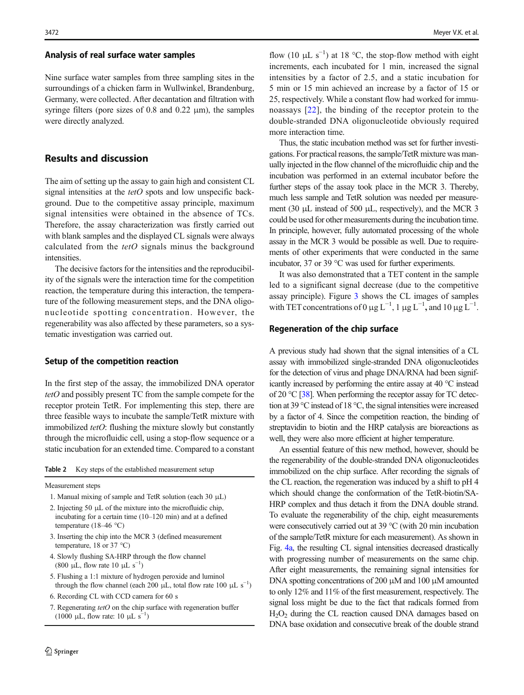## <span id="page-5-0"></span>Analysis of real surface water samples

Nine surface water samples from three sampling sites in the surroundings of a chicken farm in Wullwinkel, Brandenburg, Germany, were collected. After decantation and filtration with syringe filters (pore sizes of 0.8 and 0.22 μm), the samples were directly analyzed.

## Results and discussion

The aim of setting up the assay to gain high and consistent CL signal intensities at the *tetO* spots and low unspecific background. Due to the competitive assay principle, maximum signal intensities were obtained in the absence of TCs. Therefore, the assay characterization was firstly carried out with blank samples and the displayed CL signals were always calculated from the  $tetO$  signals minus the background intensities.

The decisive factors for the intensities and the reproducibility of the signals were the interaction time for the competition reaction, the temperature during this interaction, the temperature of the following measurement steps, and the DNA oligonucleotide spotting concentration. However, the regenerability was also affected by these parameters, so a systematic investigation was carried out.

#### Setup of the competition reaction

In the first step of the assay, the immobilized DNA operator tetO and possibly present TC from the sample compete for the receptor protein TetR. For implementing this step, there are three feasible ways to incubate the sample/TetR mixture with immobilized tetO: flushing the mixture slowly but constantly through the microfluidic cell, using a stop-flow sequence or a static incubation for an extended time. Compared to a constant

Table 2 Key steps of the established measurement setup

Measurement steps

- 1. Manual mixing of sample and TetR solution (each 30 μL)
- 2. Injecting 50 μL of the mixture into the microfluidic chip, incubating for a certain time (10–120 min) and at a defined temperature (18–46 °C)
- 3. Inserting the chip into the MCR 3 (defined measurement temperature, 18 or 37 °C)
- 4. Slowly flushing SA-HRP through the flow channel (800 μL, flow rate 10 μL s<sup>-1</sup>)
- 5. Flushing a 1:1 mixture of hydrogen peroxide and luminol through the flow channel (each 200 µL, total flow rate 100 µL s<sup>-1</sup>)
- 6. Recording CL with CCD camera for 60 s
- 7. Regenerating  $tetO$  on the chip surface with regeneration buffer (1000  $\mu$ L, flow rate: 10  $\mu$ L s<sup>-1</sup>)

flow (10  $\mu$ L s<sup>-1</sup>) at 18 °C, the stop-flow method with eight increments, each incubated for 1 min, increased the signal intensities by a factor of 2.5, and a static incubation for 5 min or 15 min achieved an increase by a factor of 15 or 25, respectively. While a constant flow had worked for immunoassays [[22\]](#page-9-0), the binding of the receptor protein to the double-stranded DNA oligonucleotide obviously required more interaction time.

Thus, the static incubation method was set for further investigations. For practical reasons, the sample/TetR mixture was manually injected in the flow channel of the microfluidic chip and the incubation was performed in an external incubator before the further steps of the assay took place in the MCR 3. Thereby, much less sample and TetR solution was needed per measurement (30 μL instead of 500 μL, respectively), and the MCR 3 could be used for other measurements during the incubation time. In principle, however, fully automated processing of the whole assay in the MCR 3 would be possible as well. Due to requirements of other experiments that were conducted in the same incubator, 37 or 39 °C was used for further experiments.

It was also demonstrated that a TET content in the sample led to a significant signal decrease (due to the competitive assay principle). Figure [3](#page-6-0) shows the CL images of samples with TET concentrations of 0  $\mu$ g L<sup>-1</sup>, 1  $\mu$ g L<sup>-1</sup>, and 10  $\mu$ g L<sup>-1</sup>.

## Regeneration of the chip surface

A previous study had shown that the signal intensities of a CL assay with immobilized single-stranded DNA oligonucleotides for the detection of virus and phage DNA/RNA had been significantly increased by performing the entire assay at 40 °C instead of 20 °C [\[38](#page-9-0)]. When performing the receptor assay for TC detection at 39 °C instead of 18 °C, the signal intensities were increased by a factor of 4. Since the competition reaction, the binding of streptavidin to biotin and the HRP catalysis are bioreactions as well, they were also more efficient at higher temperature.

An essential feature of this new method, however, should be the regenerability of the double-stranded DNA oligonucleotides immobilized on the chip surface. After recording the signals of the CL reaction, the regeneration was induced by a shift to pH 4 which should change the conformation of the TetR-biotin/SA-HRP complex and thus detach it from the DNA double strand. To evaluate the regenerability of the chip, eight measurements were consecutively carried out at 39 °C (with 20 min incubation of the sample/TetR mixture for each measurement). As shown in Fig. [4a,](#page-6-0) the resulting CL signal intensities decreased drastically with progressing number of measurements on the same chip. After eight measurements, the remaining signal intensities for DNA spotting concentrations of 200 μM and 100 μM amounted to only 12% and 11% of the first measurement, respectively. The signal loss might be due to the fact that radicals formed from  $H_2O_2$  during the CL reaction caused DNA damages based on DNA base oxidation and consecutive break of the double strand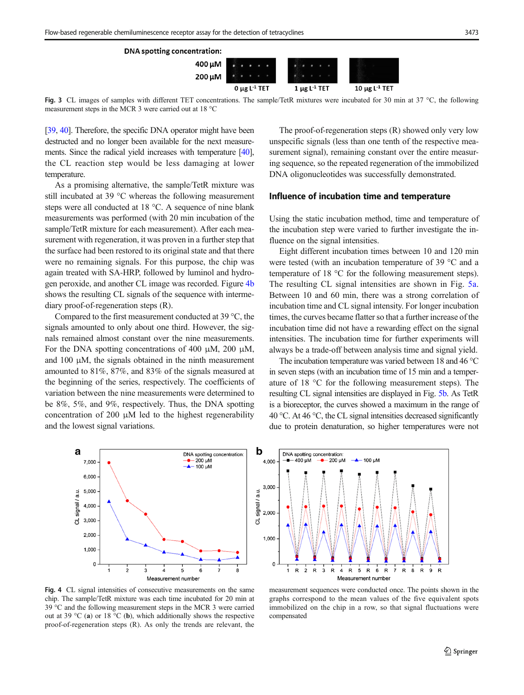

<span id="page-6-0"></span>Fig. 3 CL images of samples with different TET concentrations. The sample/TetR mixtures were incubated for 30 min at 37 °C, the following measurement steps in the MCR 3 were carried out at 18 °C

[\[39](#page-9-0), [40](#page-9-0)]. Therefore, the specific DNA operator might have been destructed and no longer been available for the next measurements. Since the radical yield increases with temperature [\[40\]](#page-9-0), the CL reaction step would be less damaging at lower temperature.

As a promising alternative, the sample/TetR mixture was still incubated at 39 °C whereas the following measurement steps were all conducted at 18 °C. A sequence of nine blank measurements was performed (with 20 min incubation of the sample/TetR mixture for each measurement). After each measurement with regeneration, it was proven in a further step that the surface had been restored to its original state and that there were no remaining signals. For this purpose, the chip was again treated with SA-HRP, followed by luminol and hydrogen peroxide, and another CL image was recorded. Figure 4b shows the resulting CL signals of the sequence with intermediary proof-of-regeneration steps (R).

Compared to the first measurement conducted at 39 °C, the signals amounted to only about one third. However, the signals remained almost constant over the nine measurements. For the DNA spotting concentrations of 400  $\mu$ M, 200  $\mu$ M, and 100 μM, the signals obtained in the ninth measurement amounted to 81%, 87%, and 83% of the signals measured at the beginning of the series, respectively. The coefficients of variation between the nine measurements were determined to be 8%, 5%, and 9%, respectively. Thus, the DNA spotting concentration of 200 μM led to the highest regenerability and the lowest signal variations.

The proof-of-regeneration steps (R) showed only very low unspecific signals (less than one tenth of the respective measurement signal), remaining constant over the entire measuring sequence, so the repeated regeneration of the immobilized DNA oligonucleotides was successfully demonstrated.

## Influence of incubation time and temperature

Using the static incubation method, time and temperature of the incubation step were varied to further investigate the influence on the signal intensities.

Eight different incubation times between 10 and 120 min were tested (with an incubation temperature of 39 °C and a temperature of 18 °C for the following measurement steps). The resulting CL signal intensities are shown in Fig. [5a.](#page-7-0) Between 10 and 60 min, there was a strong correlation of incubation time and CL signal intensity. For longer incubation times, the curves became flatter so that a further increase of the incubation time did not have a rewarding effect on the signal intensities. The incubation time for further experiments will always be a trade-off between analysis time and signal yield.

The incubation temperature was varied between 18 and 46 °C in seven steps (with an incubation time of 15 min and a temperature of 18 °C for the following measurement steps). The resulting CL signal intensities are displayed in Fig. [5b.](#page-7-0) As TetR is a bioreceptor, the curves showed a maximum in the range of 40 °C. At 46 °C, the CL signal intensities decreased significantly due to protein denaturation, so higher temperatures were not



Fig. 4 CL signal intensities of consecutive measurements on the same chip. The sample/TetR mixture was each time incubated for 20 min at 39 °C and the following measurement steps in the MCR 3 were carried out at 39  $\rm{^{\circ}C}$  (a) or 18  $\rm{^{\circ}C}$  (b), which additionally shows the respective proof-of-regeneration steps (R). As only the trends are relevant, the



measurement sequences were conducted once. The points shown in the graphs correspond to the mean values of the five equivalent spots immobilized on the chip in a row, so that signal fluctuations were compensated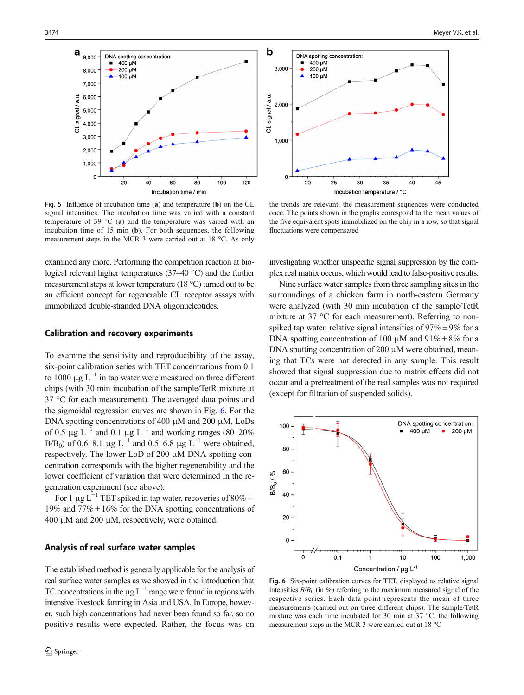<span id="page-7-0"></span>

Fig. 5 Influence of incubation time (a) and temperature (b) on the CL signal intensities. The incubation time was varied with a constant temperature of 39 °C (a) and the temperature was varied with an incubation time of 15 min (b). For both sequences, the following measurement steps in the MCR 3 were carried out at 18 °C. As only

examined any more. Performing the competition reaction at biological relevant higher temperatures (37–40 °C) and the further measurement steps at lower temperature (18 °C) turned out to be an efficient concept for regenerable CL receptor assays with immobilized double-stranded DNA oligonucleotides.

#### Calibration and recovery experiments

To examine the sensitivity and reproducibility of the assay, six-point calibration series with TET concentrations from 0.1 to 1000 μg  $L^{-1}$  in tap water were measured on three different chips (with 30 min incubation of the sample/TetR mixture at 37 °C for each measurement). The averaged data points and the sigmoidal regression curves are shown in Fig. 6. For the DNA spotting concentrations of 400 μM and 200 μM, LoDs of 0.5 μg L<sup>-1</sup> and 0.1 μg L<sup>-1</sup> and working ranges (80–20%) B/B<sub>0</sub>) of 0.6–8.1 μg L<sup>-1</sup> and 0.5–6.8 μg L<sup>-1</sup> were obtained, respectively. The lower LoD of 200 μM DNA spotting concentration corresponds with the higher regenerability and the lower coefficient of variation that were determined in the regeneration experiment (see above).

For 1  $\mu$ g L<sup>-1</sup> TET spiked in tap water, recoveries of 80% ± 19% and 77%  $\pm$  16% for the DNA spotting concentrations of 400 μM and 200 μM, respectively, were obtained.

## Analysis of real surface water samples

The established method is generally applicable for the analysis of real surface water samples as we showed in the introduction that TC concentrations in the  $\mu$ g L<sup>-1</sup> range were found in regions with intensive livestock farming in Asia and USA. In Europe, however, such high concentrations had never been found so far, so no positive results were expected. Rather, the focus was on



the trends are relevant, the measurement sequences were conducted once. The points shown in the graphs correspond to the mean values of the five equivalent spots immobilized on the chip in a row, so that signal fluctuations were compensated

investigating whether unspecific signal suppression by the complex real matrix occurs, which would lead to false-positive results.

Nine surface water samples from three sampling sites in the surroundings of a chicken farm in north-eastern Germany were analyzed (with 30 min incubation of the sample/TetR mixture at 37 °C for each measurement). Referring to nonspiked tap water, relative signal intensities of  $97\% \pm 9\%$  for a DNA spotting concentration of 100  $\mu$ M and 91%  $\pm$  8% for a DNA spotting concentration of 200 μM were obtained, meaning that TCs were not detected in any sample. This result showed that signal suppression due to matrix effects did not occur and a pretreatment of the real samples was not required (except for filtration of suspended solids).



Fig. 6 Six-point calibration curves for TET, displayed as relative signal intensities  $B/B_0$  (in %) referring to the maximum measured signal of the respective series. Each data point represents the mean of three measurements (carried out on three different chips). The sample/TetR mixture was each time incubated for 30 min at 37 °C, the following measurement steps in the MCR 3 were carried out at 18 °C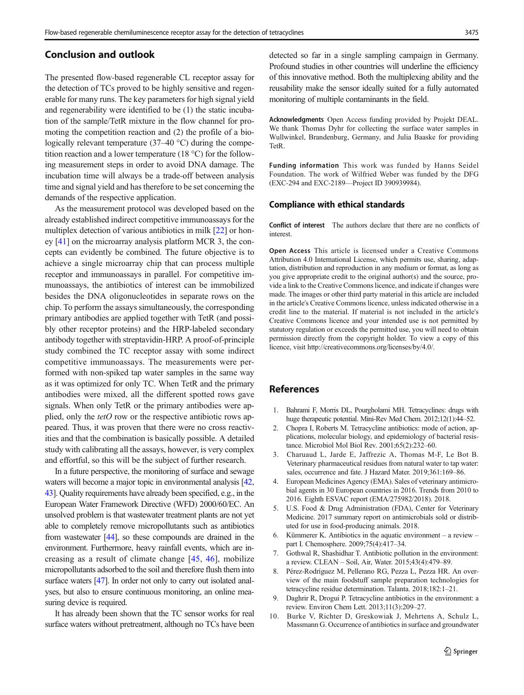## <span id="page-8-0"></span>Conclusion and outlook

The presented flow-based regenerable CL receptor assay for the detection of TCs proved to be highly sensitive and regenerable for many runs. The key parameters for high signal yield and regenerability were identified to be (1) the static incubation of the sample/TetR mixture in the flow channel for promoting the competition reaction and (2) the profile of a biologically relevant temperature (37–40 °C) during the competition reaction and a lower temperature (18 °C) for the following measurement steps in order to avoid DNA damage. The incubation time will always be a trade-off between analysis time and signal yield and has therefore to be set concerning the demands of the respective application.

As the measurement protocol was developed based on the already established indirect competitive immunoassays for the multiplex detection of various antibiotics in milk [\[22](#page-9-0)] or honey [\[41\]](#page-9-0) on the microarray analysis platform MCR 3, the concepts can evidently be combined. The future objective is to achieve a single microarray chip that can process multiple receptor and immunoassays in parallel. For competitive immunoassays, the antibiotics of interest can be immobilized besides the DNA oligonucleotides in separate rows on the chip. To perform the assays simultaneously, the corresponding primary antibodies are applied together with TetR (and possibly other receptor proteins) and the HRP-labeled secondary antibody together with streptavidin-HRP. A proof-of-principle study combined the TC receptor assay with some indirect competitive immunoassays. The measurements were performed with non-spiked tap water samples in the same way as it was optimized for only TC. When TetR and the primary antibodies were mixed, all the different spotted rows gave signals. When only TetR or the primary antibodies were applied, only the  $tetO$  row or the respective antibiotic rows appeared. Thus, it was proven that there were no cross reactivities and that the combination is basically possible. A detailed study with calibrating all the assays, however, is very complex and effortful, so this will be the subject of further research.

In a future perspective, the monitoring of surface and sewage waters will become a major topic in environmental analysis [\[42,](#page-9-0) [43](#page-9-0)]. Quality requirements have already been specified, e.g., in the European Water Framework Directive (WFD) 2000/60/EC. An unsolved problem is that wastewater treatment plants are not yet able to completely remove micropollutants such as antibiotics from wastewater [\[44](#page-9-0)], so these compounds are drained in the environment. Furthermore, heavy rainfall events, which are increasing as a result of climate change [\[45,](#page-9-0) [46](#page-9-0)], mobilize micropollutants adsorbed to the soil and therefore flush them into surface waters [\[47](#page-9-0)]. In order not only to carry out isolated analyses, but also to ensure continuous monitoring, an online measuring device is required.

It has already been shown that the TC sensor works for real surface waters without pretreatment, although no TCs have been detected so far in a single sampling campaign in Germany. Profound studies in other countries will underline the efficiency of this innovative method. Both the multiplexing ability and the reusability make the sensor ideally suited for a fully automated monitoring of multiple contaminants in the field.

Acknowledgments Open Access funding provided by Projekt DEAL. We thank Thomas Dyhr for collecting the surface water samples in Wullwinkel, Brandenburg, Germany, and Julia Baaske for providing TetR.

Funding information This work was funded by Hanns Seidel Foundation. The work of Wilfried Weber was funded by the DFG (EXC-294 and EXC-2189—Project ID 390939984).

## Compliance with ethical standards

Conflict of interest The authors declare that there are no conflicts of interest.

Open Access This article is licensed under a Creative Commons Attribution 4.0 International License, which permits use, sharing, adaptation, distribution and reproduction in any medium or format, as long as you give appropriate credit to the original author(s) and the source, provide a link to the Creative Commons licence, and indicate if changes were made. The images or other third party material in this article are included in the article's Creative Commons licence, unless indicated otherwise in a credit line to the material. If material is not included in the article's Creative Commons licence and your intended use is not permitted by statutory regulation or exceeds the permitted use, you will need to obtain permission directly from the copyright holder. To view a copy of this licence, visit http://creativecommons.org/licenses/by/4.0/.

## References

- 1. Bahrami F, Morris DL, Pourgholami MH. Tetracyclines: drugs with huge therapeutic potential. Mini-Rev Med Chem. 2012;12(1):44–52.
- 2. Chopra I, Roberts M. Tetracycline antibiotics: mode of action, applications, molecular biology, and epidemiology of bacterial resistance. Microbiol Mol Biol Rev. 2001;65(2):232–60.
- 3. Charuaud L, Jarde E, Jaffrezic A, Thomas M-F, Le Bot B. Veterinary pharmaceutical residues from natural water to tap water: sales, occurrence and fate. J Hazard Mater. 2019;361:169–86.
- 4. European Medicines Agency (EMA). Sales of veterinary antimicrobial agents in 30 European countries in 2016. Trends from 2010 to 2016. Eighth ESVAC report (EMA/275982/2018). 2018.
- 5. U.S. Food & Drug Administration (FDA), Center for Veterinary Medicine. 2017 summary report on antimicrobials sold or distributed for use in food-producing animals. 2018.
- 6. Kümmerer K. Antibiotics in the aquatic environment a review part I. Chemosphere. 2009;75(4):417–34.
- 7. Gothwal R, Shashidhar T. Antibiotic pollution in the environment: a review. CLEAN – Soil, Air, Water. 2015;43(4):479–89.
- 8. Pérez-Rodríguez M, Pellerano RG, Pezza L, Pezza HR. An overview of the main foodstuff sample preparation technologies for tetracycline residue determination. Talanta. 2018;182:1–21.
- 9. Daghrir R, Drogui P. Tetracycline antibiotics in the environment: a review. Environ Chem Lett. 2013;11(3):209–27.
- 10. Burke V, Richter D, Greskowiak J, Mehrtens A, Schulz L, Massmann G. Occurrence of antibiotics in surface and groundwater